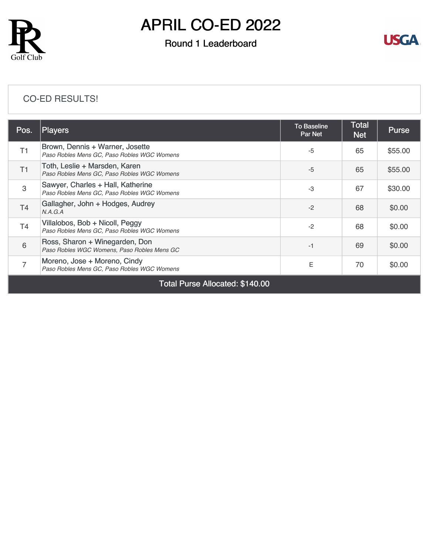

# APRIL CO-ED 2022

### Round 1 Leaderboard



#### [CO-ED RESULTS!](https://cdn2.golfgenius.com/v2tournaments/8389895944358903721?called_from=&round_index=1)

| Pos.                            | <b>Players</b>                                                                   | <b>To Baseline</b><br><b>Par Net</b> | Total<br><b>Net</b> | <b>Purse</b> |  |  |
|---------------------------------|----------------------------------------------------------------------------------|--------------------------------------|---------------------|--------------|--|--|
| T1                              | Brown, Dennis + Warner, Josette<br>Paso Robles Mens GC, Paso Robles WGC Womens   | $-5$                                 | 65                  | \$55.00      |  |  |
| T1                              | Toth, Leslie + Marsden, Karen<br>Paso Robles Mens GC, Paso Robles WGC Womens     | $-5$                                 | 65                  | \$55.00      |  |  |
| 3                               | Sawyer, Charles + Hall, Katherine<br>Paso Robles Mens GC, Paso Robles WGC Womens | $-3$                                 | 67                  | \$30.00      |  |  |
| T <sub>4</sub>                  | Gallagher, John + Hodges, Audrey<br>N.A.G.A                                      | $-2$                                 | 68                  | \$0.00       |  |  |
| T4                              | Villalobos, Bob + Nicoll, Peggy<br>Paso Robles Mens GC, Paso Robles WGC Womens   | $-2$                                 | 68                  | \$0.00       |  |  |
| 6                               | Ross, Sharon + Winegarden, Don<br>Paso Robles WGC Womens, Paso Robles Mens GC    | $-1$                                 | 69                  | \$0.00       |  |  |
| 7                               | Moreno, Jose + Moreno, Cindy<br>Paso Robles Mens GC, Paso Robles WGC Womens      | E                                    | 70                  | \$0.00       |  |  |
| Total Purse Allocated: \$140.00 |                                                                                  |                                      |                     |              |  |  |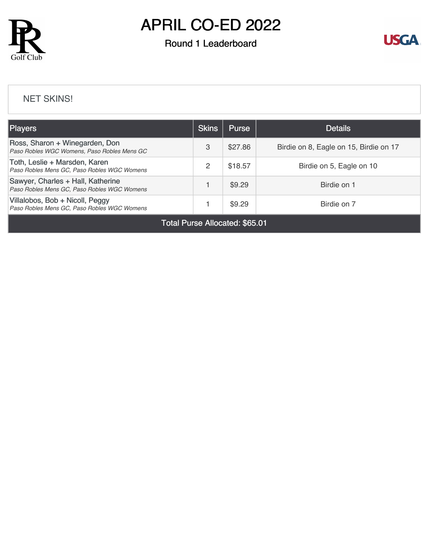

# APRIL CO-ED 2022

### Round 1 Leaderboard



#### [NET SKINS!](https://cdn2.golfgenius.com/v2tournaments/8392777435334098588?called_from=&round_index=1)

| <b>Players</b>                                                                   | <b>Skins</b> | <b>Purse</b> | <b>Details</b>                         |
|----------------------------------------------------------------------------------|--------------|--------------|----------------------------------------|
| Ross, Sharon + Winegarden, Don<br>Paso Robles WGC Womens, Paso Robles Mens GC    | 3            | \$27.86      | Birdie on 8, Eagle on 15, Birdie on 17 |
| Toth, Leslie + Marsden, Karen<br>Paso Robles Mens GC, Paso Robles WGC Womens     | 2            | \$18.57      | Birdie on 5, Eagle on 10               |
| Sawyer, Charles + Hall, Katherine<br>Paso Robles Mens GC, Paso Robles WGC Womens |              | \$9.29       | Birdie on 1                            |
| Villalobos, Bob + Nicoll, Peggy<br>Paso Robles Mens GC, Paso Robles WGC Womens   |              | \$9.29       | Birdie on 7                            |

Total Purse Allocated: \$65.01